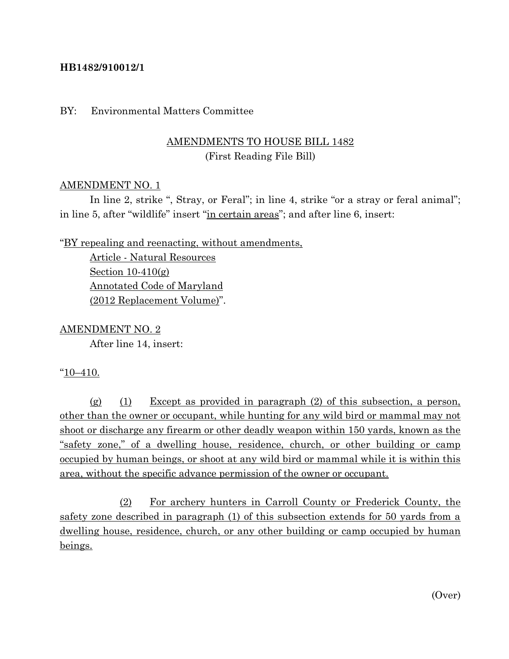## **HB1482/910012/1**

### BY: Environmental Matters Committee

## AMENDMENTS TO HOUSE BILL 1482 (First Reading File Bill)

### AMENDMENT NO. 1

In line 2, strike ", Stray, or Feral"; in line 4, strike "or a stray or feral animal"; in line 5, after "wildlife" insert "in certain areas"; and after line 6, insert:

"BY repealing and reenacting, without amendments,

Article - Natural Resources Section  $10-410(g)$ Annotated Code of Maryland (2012 Replacement Volume)".

#### AMENDMENT NO. 2

After line 14, insert:

#### "10–410.

 $(g)$  (1) Except as provided in paragraph (2) of this subsection, a person, other than the owner or occupant, while hunting for any wild bird or mammal may not shoot or discharge any firearm or other deadly weapon within 150 yards, known as the "safety zone," of a dwelling house, residence, church, or other building or camp occupied by human beings, or shoot at any wild bird or mammal while it is within this area, without the specific advance permission of the owner or occupant.

(2) For archery hunters in Carroll County or Frederick County, the safety zone described in paragraph (1) of this subsection extends for 50 yards from a dwelling house, residence, church, or any other building or camp occupied by human beings.